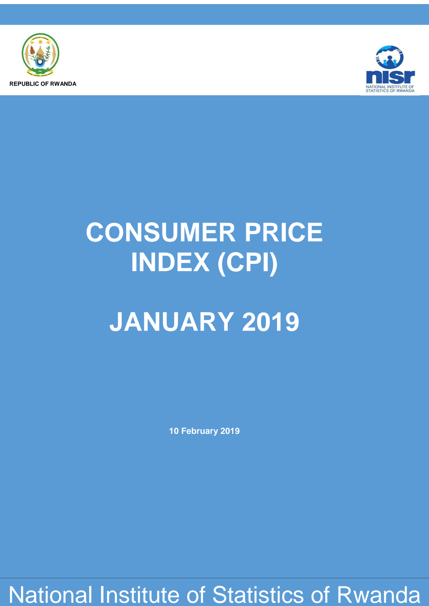



# **CONSUMER PRICE INDEX (CPI)**

# **JANUARY 2019**

**10 February 2019**

National Institute of Statistics of Rwanda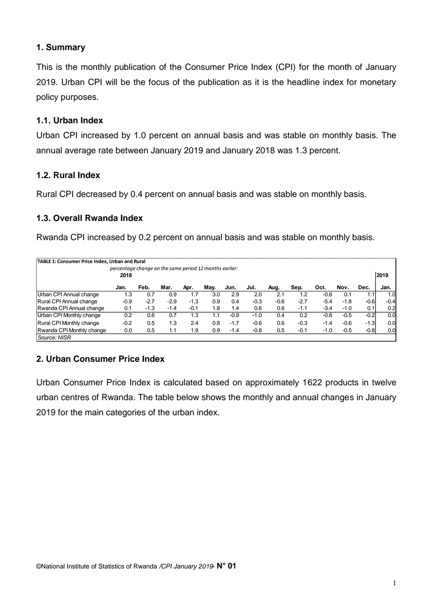# **1. Summary**

This is the monthly publication of the Consumer Price Index (CPI) for the month of January 2019. Urban CPI will be the focus of the publication as it is the headline index for monetary policy purposes.

# **1.1. Urban Index**

Urban CPI increased by 1.0 percent on annual basis and was stable on monthly basis. The annual average rate between January 2019 and January 2018 was 1.3 percent.

# **1.2. Rural Index**

Rural CPI decreased by 0.4 percent on annual basis and was stable on monthly basis.

# **1.3. Overall Rwanda Index**

Rwanda CPI increased by 0.2 percent on annual basis and was stable on monthly basis.

| TABLE 1: Consumer Price Index. Urban and Rural |        |                                                         |        |        |      |        |        |        |        |        |        |        |        |
|------------------------------------------------|--------|---------------------------------------------------------|--------|--------|------|--------|--------|--------|--------|--------|--------|--------|--------|
|                                                | 2018   | percentage change on the same period 12 months earlier: |        |        |      |        |        |        |        |        |        |        | 2019   |
|                                                | Jan.   | Feb.                                                    | Mar.   | Apr.   | May. | Jun.   | Jul.   | Aug.   | Sep.   | Oct.   | Nov.   | Dec.   | Jan.   |
| Urban CPI Annual change                        | 1.3    | 0.7                                                     | 0.9    | 1.7    | 3.0  | 2.9    | 2.0    | 2.1    | 1.2    | $-0.6$ | 0.1    | 1.1    | 1.0    |
| Rural CPI Annual change                        | $-0.9$ | $-2.7$                                                  | $-2.9$ | $-1.3$ | 0.9  | 0.4    | $-0.3$ | $-0.6$ | $-2.7$ | $-5.4$ | $-1.8$ | $-0.6$ | $-0.4$ |
| Rwanda CPI Annual change                       | 0.1    | $-1.3$                                                  | $-1.4$ | $-0.1$ | 1.8  | 1.4    | 0.6    | 0.6    | $-1.1$ | $-3.4$ | $-1.0$ | 0.1    | 0.2    |
| Urban CPI Monthly change                       | 0.2    | 0.6                                                     | 0.7    | 1.3    | 1.1  | $-0.9$ | $-1.0$ | 0.4    | 0.2    | -0.6   | $-0.5$ | $-0.2$ | 0.0    |
| <b>Rural CPI Monthly change</b>                | $-0.2$ | 0.5                                                     | 1.3    | 2.4    | 0.8  | $-1.7$ | $-0.6$ | 0.6    | $-0.3$ | $-1.4$ | $-0.6$ | $-1.3$ | 0.0    |
| Rwanda CPI Monthly change                      | 0.0    | 0.5                                                     | 1.1    | 1.9    | 0.9  | $-1.4$ | $-0.8$ | 0.5    | $-0.1$ | $-1.0$ | $-0.5$ | $-0.8$ | 0.0    |
| Source: NISR                                   |        |                                                         |        |        |      |        |        |        |        |        |        |        |        |

### **2. Urban Consumer Price Index**

Urban Consumer Price Index is calculated based on approximately 1622 products in twelve urban centres of Rwanda. The table below shows the monthly and annual changes in January 2019 for the main categories of the urban index.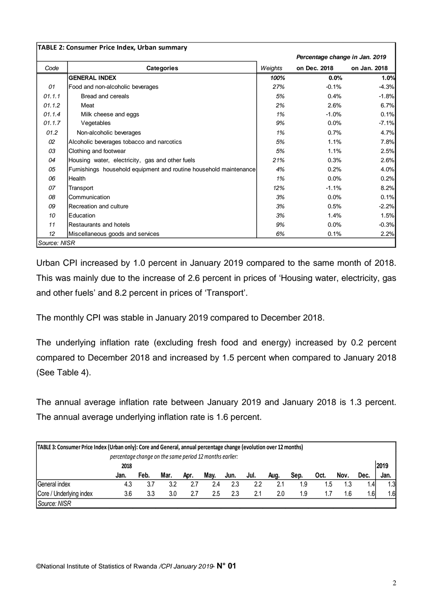|        |                                                                   |         | Percentage change in Jan. 2019 |              |  |  |
|--------|-------------------------------------------------------------------|---------|--------------------------------|--------------|--|--|
| Code   | <b>Categories</b>                                                 | Weights | on Dec. 2018                   | on Jan. 2018 |  |  |
|        | <b>GENERAL INDEX</b>                                              | 100%    | 0.0%                           | 1.0%         |  |  |
| 01     | Food and non-alcoholic beverages                                  | 27%     | $-0.1%$                        | $-4.3%$      |  |  |
| 01.1.1 | Bread and cereals                                                 | 5%      | 0.4%                           | $-1.8%$      |  |  |
| 01.1.2 | Meat                                                              | 2%      | 2.6%                           | 6.7%         |  |  |
| 01.1.4 | Milk cheese and eggs                                              | 1%      | $-1.0%$                        | 0.1%         |  |  |
| 01.1.7 | Vegetables                                                        | 9%      | 0.0%                           | $-7.1%$      |  |  |
| 01.2   | Non-alcoholic beverages                                           | 1%      | 0.7%                           | 4.7%         |  |  |
| 02     | Alcoholic beverages tobacco and narcotics                         | 5%      | 1.1%                           | 7.8%         |  |  |
| 03     | Clothing and footwear                                             | 5%      | 1.1%                           | 2.5%         |  |  |
| 04     | Housing water, electricity, gas and other fuels                   | 21%     | 0.3%                           | 2.6%         |  |  |
| 05     | Furnishings household equipment and routine household maintenance | 4%      | 0.2%                           | 4.0%         |  |  |
| 06     | Health                                                            | 1%      | 0.0%                           | 0.2%         |  |  |
| 07     | Transport                                                         | 12%     | $-1.1%$                        | 8.2%         |  |  |
| 08     | Communication                                                     | 3%      | 0.0%                           | 0.1%         |  |  |
| 09     | Recreation and culture                                            | 3%      | 0.5%                           | $-2.2%$      |  |  |
| 10     | Education                                                         | 3%      | 1.4%                           | 1.5%         |  |  |
| 11     | Restaurants and hotels                                            | 9%      | 0.0%                           | $-0.3%$      |  |  |
| 12     | Miscellaneous goods and services                                  | 6%      | 0.1%                           | 2.2%         |  |  |

Urban CPI increased by 1.0 percent in January 2019 compared to the same month of 2018. This was mainly due to the increase of 2.6 percent in prices of 'Housing water, electricity, gas and other fuels' and 8.2 percent in prices of 'Transport'.

The monthly CPI was stable in January 2019 compared to December 2018.

The underlying inflation rate (excluding fresh food and energy) increased by 0.2 percent compared to December 2018 and increased by 1.5 percent when compared to January 2018 (See Table 4).

The annual average inflation rate between January 2019 and January 2018 is 1.3 percent. The annual average underlying inflation rate is 1.6 percent.

| TABLE 3: Consumer Price Index (Urban only): Core and General, annual percentage change (evolution over 12 months)<br>percentage change on the same period 12 months earlier: |      |      |      |      |      |      |      |      |      |      |      |      |      |
|------------------------------------------------------------------------------------------------------------------------------------------------------------------------------|------|------|------|------|------|------|------|------|------|------|------|------|------|
|                                                                                                                                                                              | 2018 |      |      |      |      |      |      |      |      |      |      |      | 2019 |
|                                                                                                                                                                              | Jan. | Feb. | Mar. | Apr. | May. | Jun. | Jul. | Aug. | Sep. | Oct. | Nov. | Dec. | Jan. |
| General index                                                                                                                                                                | 4.3  | 3.7  | 3.2  | 2.7  | 2.4  | 2.3  | 2.2  | 2.1  | 1.9  | 1.5  | 1.3  | .4   | 1.3  |
| Core / Underlying index                                                                                                                                                      | 3.6  | 3.3  | 3.0  | 2.7  | 2.5  | 2.3  | 2.1  | 2.0  | 1.9  |      | 1.6  | .6   | 1.6  |
| Source: NISR                                                                                                                                                                 |      |      |      |      |      |      |      |      |      |      |      |      |      |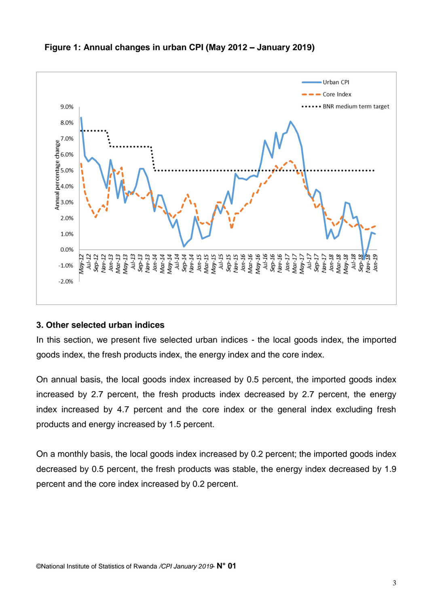

**Figure 1: Annual changes in urban CPI (May 2012 – January 2019)**

#### **3. Other selected urban indices**

In this section, we present five selected urban indices - the local goods index, the imported goods index, the fresh products index, the energy index and the core index.

On annual basis, the local goods index increased by 0.5 percent, the imported goods index increased by 2.7 percent, the fresh products index decreased by 2.7 percent, the energy index increased by 4.7 percent and the core index or the general index excluding fresh products and energy increased by 1.5 percent.

On a monthly basis, the local goods index increased by 0.2 percent; the imported goods index decreased by 0.5 percent, the fresh products was stable, the energy index decreased by 1.9 percent and the core index increased by 0.2 percent.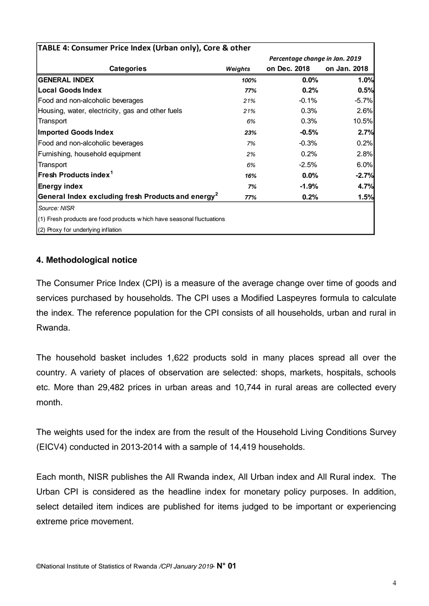| TABLE 4: Consumer Price Index (Urban only), Core & other               |         |                                |              |  |
|------------------------------------------------------------------------|---------|--------------------------------|--------------|--|
|                                                                        |         | Percentage change in Jan. 2019 |              |  |
| <b>Categories</b>                                                      | Weights | on Dec. 2018                   | on Jan. 2018 |  |
| <b>GENERAL INDEX</b>                                                   | 100%    | $0.0\%$                        | 1.0%         |  |
| <b>Local Goods Index</b>                                               | 77%     | 0.2%                           | 0.5%         |  |
| Food and non-alcoholic beverages                                       | 21%     | $-0.1%$                        | $-5.7%$      |  |
| Housing, water, electricity, gas and other fuels                       | 21%     | 0.3%                           | 2.6%         |  |
| Transport                                                              | 6%      | 0.3%                           | 10.5%        |  |
| <b>Imported Goods Index</b>                                            | 23%     | $-0.5%$                        | 2.7%         |  |
| Food and non-alcoholic beverages                                       | 7%      | $-0.3%$                        | 0.2%         |  |
| Furnishing, household equipment                                        | 2%      | 0.2%                           | 2.8%         |  |
| Transport                                                              | 6%      | $-2.5%$                        | 6.0%         |  |
| Fresh Products index <sup>1</sup>                                      | 16%     | $0.0\%$                        | $-2.7%$      |  |
| <b>Energy index</b>                                                    | 7%      | $-1.9%$                        | 4.7%         |  |
| General Index excluding fresh Products and energy <sup>2</sup>         | 77%     | 0.2%                           | 1.5%         |  |
| Source: NISR                                                           |         |                                |              |  |
| (1) Fresh products are food products w hich have seasonal fluctuations |         |                                |              |  |
| (2) Proxy for underlying inflation                                     |         |                                |              |  |

#### **4. Methodological notice**

The Consumer Price Index (CPI) is a measure of the average change over time of goods and services purchased by households. The CPI uses a Modified Laspeyres formula to calculate the index. The reference population for the CPI consists of all households, urban and rural in Rwanda.

The household basket includes 1,622 products sold in many places spread all over the country. A variety of places of observation are selected: shops, markets, hospitals, schools etc. More than 29,482 prices in urban areas and 10,744 in rural areas are collected every month.

The weights used for the index are from the result of the Household Living Conditions Survey (EICV4) conducted in 2013-2014 with a sample of 14,419 households.

Each month, NISR publishes the All Rwanda index, All Urban index and All Rural index. The Urban CPI is considered as the headline index for monetary policy purposes. In addition, select detailed item indices are published for items judged to be important or experiencing extreme price movement.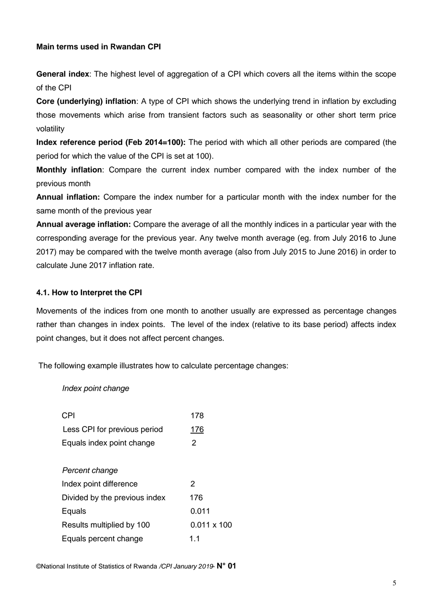#### **Main terms used in Rwandan CPI**

**General index**: The highest level of aggregation of a CPI which covers all the items within the scope of the CPI

**Core (underlying) inflation**: A type of CPI which shows the underlying trend in inflation by excluding those movements which arise from transient factors such as seasonality or other short term price volatility

**Index reference period (Feb 2014=100):** The period with which all other periods are compared (the period for which the value of the CPI is set at 100).

**Monthly inflation**: Compare the current index number compared with the index number of the previous month

**Annual inflation:** Compare the index number for a particular month with the index number for the same month of the previous year

**Annual average inflation:** Compare the average of all the monthly indices in a particular year with the corresponding average for the previous year. Any twelve month average (eg. from July 2016 to June 2017) may be compared with the twelve month average (also from July 2015 to June 2016) in order to calculate June 2017 inflation rate.

#### **4.1. How to Interpret the CPI**

Movements of the indices from one month to another usually are expressed as percentage changes rather than changes in index points. The level of the index (relative to its base period) affects index point changes, but it does not affect percent changes.

The following example illustrates how to calculate percentage changes:

#### *Index point change*

| CPI                           | 178                |
|-------------------------------|--------------------|
| Less CPI for previous period  | 176                |
| Equals index point change     | 2                  |
|                               |                    |
| Percent change                |                    |
| Index point difference        | 2                  |
| Divided by the previous index | 176                |
| Equals                        | 0.011              |
| Results multiplied by 100     | $0.011 \times 100$ |
| Equals percent change         | 1.1                |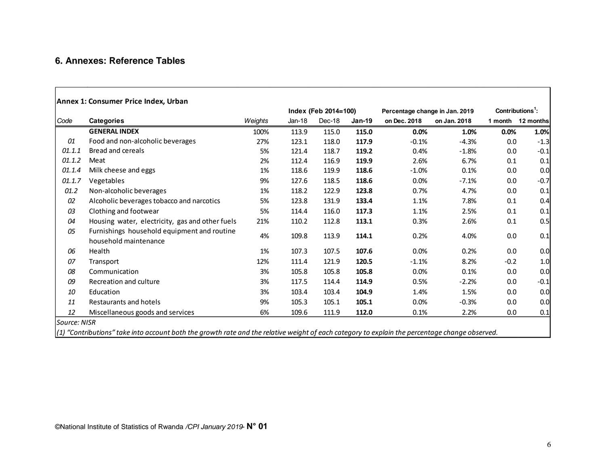# **6. Annexes: Reference Tables**

п

|        |                                                 |         |          | Index (Feb 2014=100) |          | Percentage change in Jan. 2019 | Contributions <sup>1</sup> : |         |                   |
|--------|-------------------------------------------------|---------|----------|----------------------|----------|--------------------------------|------------------------------|---------|-------------------|
| Code   | <b>Categories</b>                               | Weights | $Jan-18$ | Dec-18               | $Jan-19$ | on Dec. 2018                   | on Jan. 2018                 |         | 1 month 12 months |
|        | <b>GENERAL INDEX</b>                            | 100%    | 113.9    | 115.0                | 115.0    | 0.0%                           | 1.0%                         | 0.0%    | 1.0%              |
| 01     | Food and non-alcoholic beverages                | 27%     | 123.1    | 118.0                | 117.9    | $-0.1%$                        | $-4.3%$                      | 0.0     | $-1.3$            |
| 01.1.1 | Bread and cereals                               | 5%      | 121.4    | 118.7                | 119.2    | 0.4%                           | $-1.8%$                      | 0.0     | $-0.1$            |
| 01.1.2 | Meat                                            | 2%      | 112.4    | 116.9                | 119.9    | 2.6%                           | 6.7%                         | 0.1     | 0.1               |
| 01.1.4 | Milk cheese and eggs                            | 1%      | 118.6    | 119.9                | 118.6    | $-1.0%$                        | 0.1%                         | $0.0\,$ | 0.0               |
| 01.1.7 | Vegetables                                      | 9%      | 127.6    | 118.5                | 118.6    | 0.0%                           | $-7.1%$                      | $0.0\,$ | $-0.7$            |
| 01.2   | Non-alcoholic beverages                         | 1%      | 118.2    | 122.9                | 123.8    | 0.7%                           | 4.7%                         | $0.0\,$ | 0.1               |
| 02     | Alcoholic beverages tobacco and narcotics       | 5%      | 123.8    | 131.9                | 133.4    | 1.1%                           | 7.8%                         | 0.1     | 0.4               |
| 03     | Clothing and footwear                           | 5%      | 114.4    | 116.0                | 117.3    | 1.1%                           | 2.5%                         | 0.1     | 0.1               |
| 04     | Housing water, electricity, gas and other fuels | 21%     | 110.2    | 112.8                | 113.1    | 0.3%                           | 2.6%                         | 0.1     | 0.5               |
| 05     | Furnishings household equipment and routine     | 4%      | 109.8    | 113.9                | 114.1    | 0.2%                           | 4.0%                         | 0.0     | 0.1               |
|        | household maintenance                           |         |          |                      |          |                                |                              |         |                   |
| 06     | Health                                          | 1%      | 107.3    | 107.5                | 107.6    | 0.0%                           | 0.2%                         | $0.0\,$ | 0.0               |
| 07     | Transport                                       | 12%     | 111.4    | 121.9                | 120.5    | $-1.1%$                        | 8.2%                         | $-0.2$  | 1.0               |
| 08     | Communication                                   | 3%      | 105.8    | 105.8                | 105.8    | 0.0%                           | 0.1%                         | 0.0     | 0.0               |
| 09     | Recreation and culture                          | 3%      | 117.5    | 114.4                | 114.9    | 0.5%                           | $-2.2%$                      | 0.0     | $-0.1$            |
| 10     | Education                                       | 3%      | 103.4    | 103.4                | 104.9    | 1.4%                           | 1.5%                         | 0.0     | 0.0               |
| 11     | Restaurants and hotels                          | 9%      | 105.3    | 105.1                | 105.1    | 0.0%                           | $-0.3%$                      | 0.0     | 0.0               |
| 12     | Miscellaneous goods and services                | 6%      | 109.6    | 111.9                | 112.0    | 0.1%                           | 2.2%                         | 0.0     | 0.1               |

÷,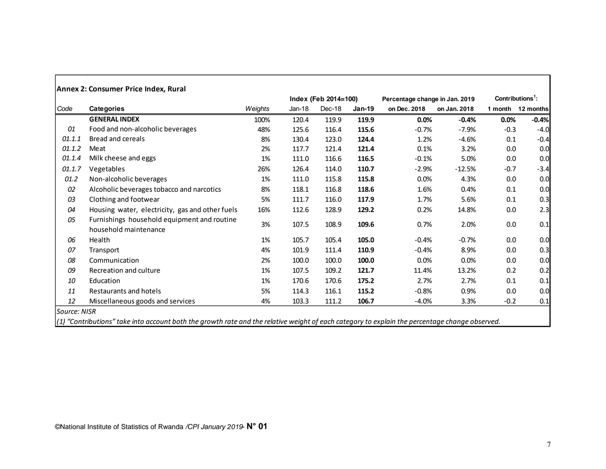|              | Annex 2: Consumer Price Index, Rural                                 |         |          |                      |          |                                |              |         |                              |
|--------------|----------------------------------------------------------------------|---------|----------|----------------------|----------|--------------------------------|--------------|---------|------------------------------|
|              |                                                                      |         |          | Index (Feb 2014=100) |          | Percentage change in Jan. 2019 |              |         | Contributions <sup>1</sup> : |
| Code         | <b>Categories</b>                                                    | Weights | $Jan-18$ | Dec-18               | $Jan-19$ | on Dec. 2018                   | on Jan. 2018 | 1 month | 12 months                    |
|              | <b>GENERAL INDEX</b>                                                 | 100%    | 120.4    | 119.9                | 119.9    | 0.0%                           | $-0.4%$      | 0.0%    | $-0.4%$                      |
| 01           | Food and non-alcoholic beverages                                     | 48%     | 125.6    | 116.4                | 115.6    | $-0.7\%$                       | $-7.9%$      | $-0.3$  | $-4.0$                       |
| 01.1.1       | Bread and cereals                                                    | 8%      | 130.4    | 123.0                | 124.4    | 1.2%                           | $-4.6%$      | 0.1     | $-0.4$                       |
| 01.1.2       | Meat                                                                 | 2%      | 117.7    | 121.4                | 121.4    | 0.1%                           | 3.2%         | 0.0     | 0.0                          |
| 01.1.4       | Milk cheese and eggs                                                 | 1%      | 111.0    | 116.6                | 116.5    | $-0.1%$                        | 5.0%         | 0.0     | 0.0                          |
| 01.1.7       | Vegetables                                                           | 26%     | 126.4    | 114.0                | 110.7    | $-2.9%$                        | $-12.5%$     | $-0.7$  | $-3.4$                       |
| 01.2         | Non-alcoholic beverages                                              | 1%      | 111.0    | 115.8                | 115.8    | 0.0%                           | 4.3%         | 0.0     | 0.0                          |
| 02           | Alcoholic beverages tobacco and narcotics                            | 8%      | 118.1    | 116.8                | 118.6    | 1.6%                           | 0.4%         | 0.1     | 0.0                          |
| 03           | Clothing and footwear                                                | 5%      | 111.7    | 116.0                | 117.9    | 1.7%                           | 5.6%         | 0.1     | 0.3                          |
| 04           | Housing water, electricity, gas and other fuels                      | 16%     | 112.6    | 128.9                | 129.2    | 0.2%                           | 14.8%        | 0.0     | 2.3                          |
| 05           | Furnishings household equipment and routine<br>household maintenance | 3%      | 107.5    | 108.9                | 109.6    | 0.7%                           | 2.0%         | 0.0     | 0.1                          |
| 06           | Health                                                               | 1%      | 105.7    | 105.4                | 105.0    | $-0.4%$                        | $-0.7%$      | 0.0     | 0.0                          |
| 07           | Transport                                                            | 4%      | 101.9    | 111.4                | 110.9    | $-0.4%$                        | 8.9%         | 0.0     | 0.3                          |
| 08           | Communication                                                        | 2%      | 100.0    | 100.0                | 100.0    | 0.0%                           | 0.0%         | 0.0     | 0.0                          |
| 09           | Recreation and culture                                               | 1%      | 107.5    | 109.2                | 121.7    | 11.4%                          | 13.2%        | 0.2     | 0.2                          |
| 10           | Education                                                            | 1%      | 170.6    | 170.6                | 175.2    | 2.7%                           | 2.7%         | 0.1     | 0.1                          |
| 11           | Restaurants and hotels                                               | 5%      | 114.3    | 116.1                | 115.2    | $-0.8%$                        | 0.9%         | 0.0     | 0.0                          |
| 12           | Miscellaneous goods and services                                     | 4%      | 103.3    | 111.2                | 106.7    | $-4.0%$                        | 3.3%         | $-0.2$  | 0.1                          |
| Source: NISR |                                                                      |         |          |                      |          |                                |              |         |                              |

*(1) "Contributions" take into account both the growth rate and the relative weight of each category to explain the percentage change observed.*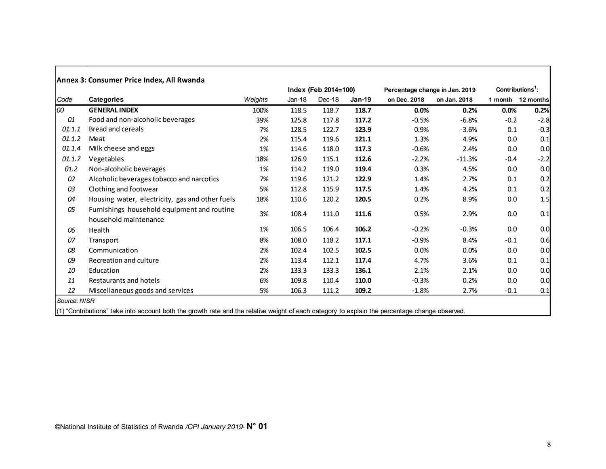|        |                                                                      |         |          | Index (Feb 2014=100) |          | Percentage change in Jan. 2019 | $Contributions1$ : |                   |        |
|--------|----------------------------------------------------------------------|---------|----------|----------------------|----------|--------------------------------|--------------------|-------------------|--------|
| Code   | <b>Categories</b>                                                    | Weights | $Jan-18$ | Dec-18               | $Jan-19$ | on Dec. 2018                   | on Jan. 2018       | 1 month 12 months |        |
| 00     | <b>GENERAL INDEX</b>                                                 | 100%    | 118.5    | 118.7                | 118.7    | $0.0\%$                        | 0.2%               | $0.0\%$           | 0.2%   |
| 01     | Food and non-alcoholic beverages                                     | 39%     | 125.8    | 117.8                | 117.2    | $-0.5%$                        | $-6.8%$            | $-0.2$            | $-2.8$ |
| 01.1.1 | Bread and cereals                                                    | 7%      | 128.5    | 122.7                | 123.9    | 0.9%                           | $-3.6%$            | 0.1               | $-0.3$ |
| 01.1.2 | Meat                                                                 | 2%      | 115.4    | 119.6                | 121.1    | 1.3%                           | 4.9%               | 0.0               | 0.1    |
| 01.1.4 | Milk cheese and eggs                                                 | 1%      | 114.6    | 118.0                | 117.3    | $-0.6%$                        | 2.4%               | 0.0               | 0.0    |
| 01.1.7 | Vegetables                                                           | 18%     | 126.9    | 115.1                | 112.6    | $-2.2%$                        | $-11.3%$           | $-0.4$            | $-2.2$ |
| 01.2   | Non-alcoholic beverages                                              | 1%      | 114.2    | 119.0                | 119.4    | 0.3%                           | 4.5%               | 0.0               | 0.0    |
| 02     | Alcoholic beverages tobacco and narcotics                            | 7%      | 119.6    | 121.2                | 122.9    | 1.4%                           | 2.7%               | 0.1               | 0.2    |
| 03     | Clothing and footwear                                                | 5%      | 112.8    | 115.9                | 117.5    | 1.4%                           | 4.2%               | 0.1               | 0.2    |
| 04     | Housing water, electricity, gas and other fuels                      | 18%     | 110.6    | 120.2                | 120.5    | 0.2%                           | 8.9%               | 0.0               | 1.5    |
| 05     | Furnishings household equipment and routine<br>household maintenance | 3%      | 108.4    | 111.0                | 111.6    | 0.5%                           | 2.9%               | 0.0               | 0.1    |
| 06     | Health                                                               | 1%      | 106.5    | 106.4                | 106.2    | $-0.2%$                        | $-0.3%$            | 0.0               | 0.0    |
| 07     | Transport                                                            | 8%      | 108.0    | 118.2                | 117.1    | $-0.9%$                        | 8.4%               | $-0.1$            | 0.6    |
| 08     | Communication                                                        | 2%      | 102.4    | 102.5                | 102.5    | $0.0\%$                        | $0.0\%$            | 0.0               | 0.0    |
| 09     | Recreation and culture                                               | 2%      | 113.4    | 112.1                | 117.4    | 4.7%                           | 3.6%               | 0.1               | 0.1    |
| 10     | Education                                                            | 2%      | 133.3    | 133.3                | 136.1    | 2.1%                           | 2.1%               | 0.0               | 0.0    |
| 11     | Restaurants and hotels                                               | 6%      | 109.8    | 110.4                | 110.0    | $-0.3%$                        | 0.2%               | 0.0               | 0.0    |
| 12     | Miscellaneous goods and services                                     | 5%      | 106.3    | 111.2                | 109.2    | $-1.8%$                        | 2.7%               | $-0.1$            | 0.1    |